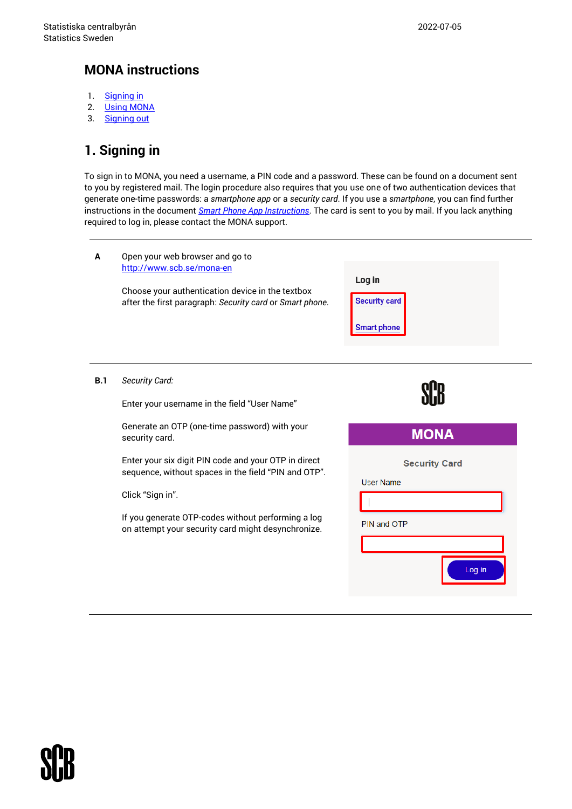## **MONA instructions**

- 1. [Signing](#page-0-0) in
- 2. [Using MONA](#page-4-0)
- 3. [Signing out](#page-6-0)

# <span id="page-0-0"></span>**1. Signing in**

To sign in to MONA, you need a username, a PIN code and a password. These can be found on a document sent to you by registered mail. The login procedure also requires that you use one of two authentication devices that generate one-time passwords: a *smartphone app* or a *security card*. If you use a *smartphone*, you can find further instructions in the document *[Smart Phone App Instructions](https://www.scb.se/contentassets/6cc61a453c8046d2a3791568244a332b/smart-phone-instructions190111.pdf)*. The card is sent to you by mail. If you lack anything required to log in, please contact the MONA support.

| A   | Open your web browser and go to<br>http://www.scb.se/mona-en<br>Choose your authentication device in the textbox<br>after the first paragraph: Security card or Smart phone.                                                                 | Log in<br><b>Security card</b><br><b>Smart phone</b>              |
|-----|----------------------------------------------------------------------------------------------------------------------------------------------------------------------------------------------------------------------------------------------|-------------------------------------------------------------------|
| B.1 | Security Card:<br>Enter your username in the field "User Name"                                                                                                                                                                               |                                                                   |
|     | Generate an OTP (one-time password) with your<br>security card.                                                                                                                                                                              | <b>MONA</b>                                                       |
|     | Enter your six digit PIN code and your OTP in direct<br>sequence, without spaces in the field "PIN and OTP".<br>Click "Sign in".<br>If you generate OTP-codes without performing a log<br>on attempt your security card might desynchronize. | <b>Security Card</b><br><b>User Name</b><br>PIN and OTP<br>Log in |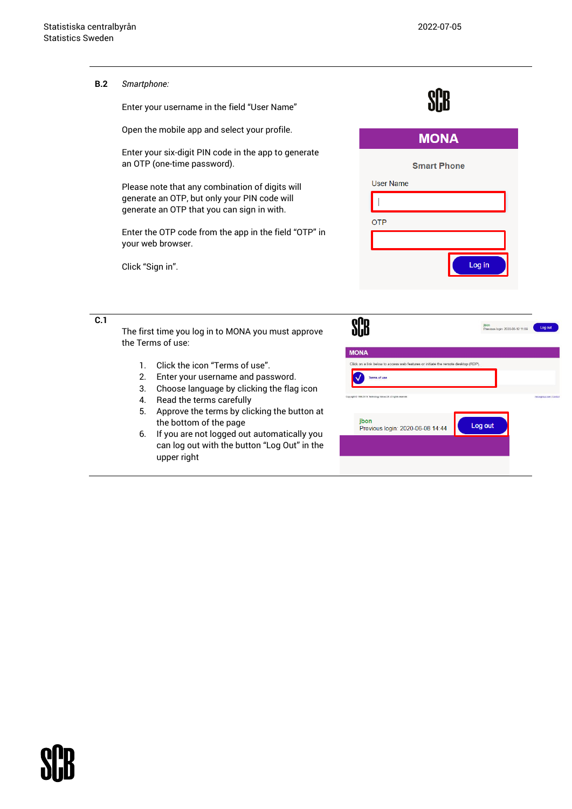SCR.

**B.2** *Smartphone:*

Enter your username in the field "User Name"

Open the mobile app and select your profile.

Enter your six-digit PIN code in the app to generate an OTP (one-time password).

Please note that any combination of digits will generate an OTP, but only your PIN code will generate an OTP that you can sign in with.

Enter the OTP code from the app in the field "OTP" in your web browser.

Click "Sign in".

|                  | <b>MONA</b>                              |  |
|------------------|------------------------------------------|--|
|                  | <b>Smart Phone</b>                       |  |
| <b>User Name</b> |                                          |  |
|                  |                                          |  |
| <b>OTP</b>       |                                          |  |
|                  |                                          |  |
|                  | Log in                                   |  |
|                  | jbon<br>Previous login: 2020-06-12 11:09 |  |

**C.1**

The first time you log in to MONA you must approve the Terms of use:

- 1. Click the icon "Terms of use".
- 2. Enter your username and password.
- 3. Choose language by clicking the flag icon
- 4. Read the terms carefully
- 5. Approve the terms by clicking the button at the bottom of the page
- 6. If you are not logged out automatically you can log out with the button "Log Out" in the upper right



on out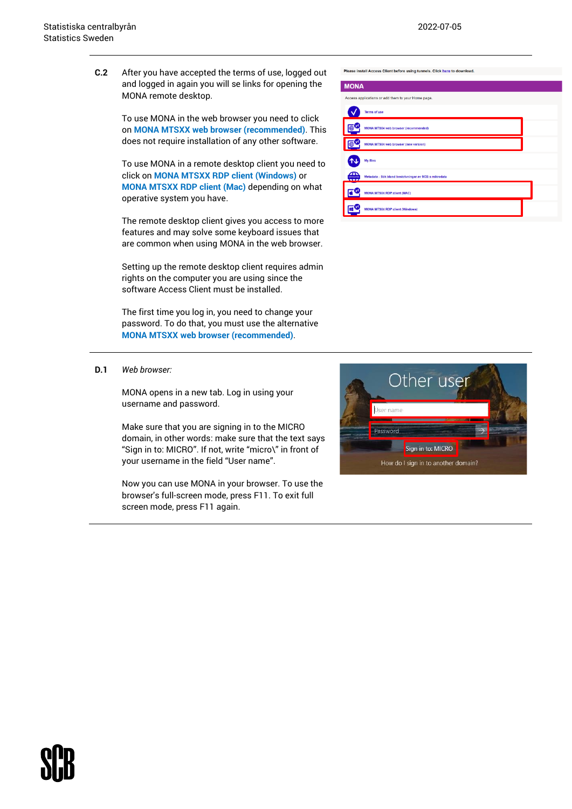Please install Access Client before using tunnels. Click here to download.

add them to your Home page

**MONA** 

 $\checkmark$  $\bigoplus$ 

 $F$ 

 $F^{\circ}$ 

Terms of us

MONA MTS04 web bro

MONA MTS04 web browser (new version)

MONA MTS04 RDP client (MAC)

MONA MTS04 RDP client (Wind

**C.2** After you have accepted the terms of use, logged out and logged in again you will se links for opening the MONA remote desktop.

> To use MONA in the web browser you need to click on **MONA MTSXX web browser (recommended)**. This does not require installation of any other software.

> To use MONA in a remote desktop client you need to click on **MONA MTSXX RDP client (Windows)** or **MONA MTSXX RDP client (Mac)** depending on what operative system you have.

> The remote desktop client gives you access to more features and may solve some keyboard issues that are common when using MONA in the web browser.

> Setting up the remote desktop client requires admin rights on the computer you are using since the software Access Client must be installed.

The first time you log in, you need to change your password. To do that, you must use the alternative **MONA MTSXX web browser (recommended)**.

**D.1** *Web browser:*

MONA opens in a new tab. Log in using your username and password.

Make sure that you are signing in to the MICRO domain, in other words: make sure that the text says "Sign in to: MICRO". If not, write "micro\" in front of your username in the field "User name".

Now you can use MONA in your browser. To use the browser's full-screen mode, press F11. To exit full screen mode, press F11 again.

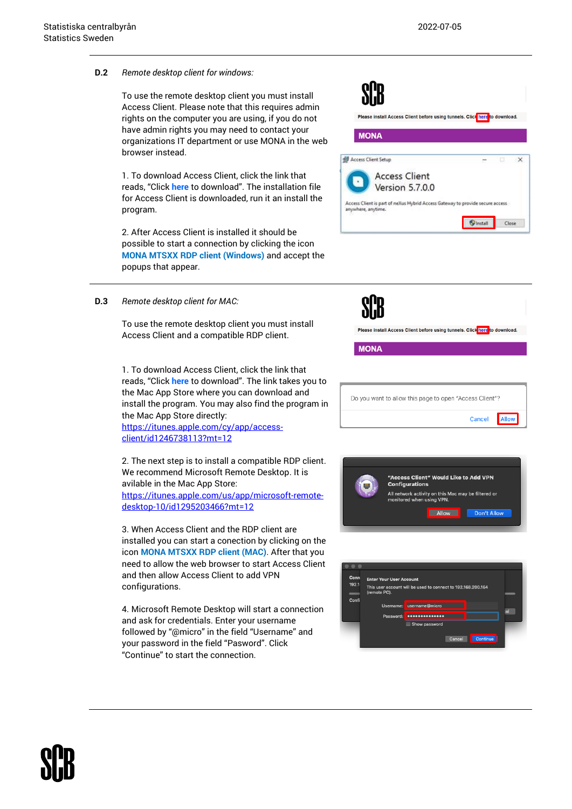### **D.2** *Remote desktop client for windows:*

To use the remote desktop client you must install Access Client. Please note that this requires admin rights on the computer you are using, if you do not have admin rights you may need to contact your organizations IT department or use MONA in the web browser instead.

1. To download Access Client, click the link that reads, "Click **here** to download". The installation file for Access Client is downloaded, run it an install the program.

2. After Access Client is installed it should be possible to start a connection by clicking the icon **MONA MTSXX RDP client (Windows)** and accept the popups that appear.



### **D.3** *Remote desktop client for MAC:*

To use the remote desktop client you must install Access Client and a compatible RDP client.

1. To download Access Client, click the link that reads, "Click **here** to download". The link takes you to the Mac App Store where you can download and install the program. You may also find the program in the Mac App Store directly:

[https://itunes.apple.com/cy/app/access](https://itunes.apple.com/cy/app/access-client/id1246738113?mt=12%20)[client/id1246738113?mt=12](https://itunes.apple.com/cy/app/access-client/id1246738113?mt=12%20)

2. The next step is to install a compatible RDP client. We recommend Microsoft Remote Desktop. It is avilable in the Mac App Store: [https://itunes.apple.com/us/app/microsoft-remote](https://itunes.apple.com/us/app/microsoft-remote-desktop-10/id1295203466?mt=12)[desktop-10/id1295203466?mt=12](https://itunes.apple.com/us/app/microsoft-remote-desktop-10/id1295203466?mt=12)

3. When Access Client and the RDP client are installed you can start a conection by clicking on the icon **MONA MTSXX RDP client (MAC)**. After that you need to allow the web browser to start Access Client and then allow Access Client to add VPN configurations.

4. Microsoft Remote Desktop will start a connection and ask for credentials. Enter your username followed by "@micro" in the field "Username" and your password in the field "Pasword". Click "Continue" to start the connection.



| "Access Client" Would Like to Add VPN<br><b>Configurations</b>                   |  |
|----------------------------------------------------------------------------------|--|
| All network activity on this Mac may be filtered or<br>monitored when using VPN. |  |
| Don't Allow<br>Allow                                                             |  |

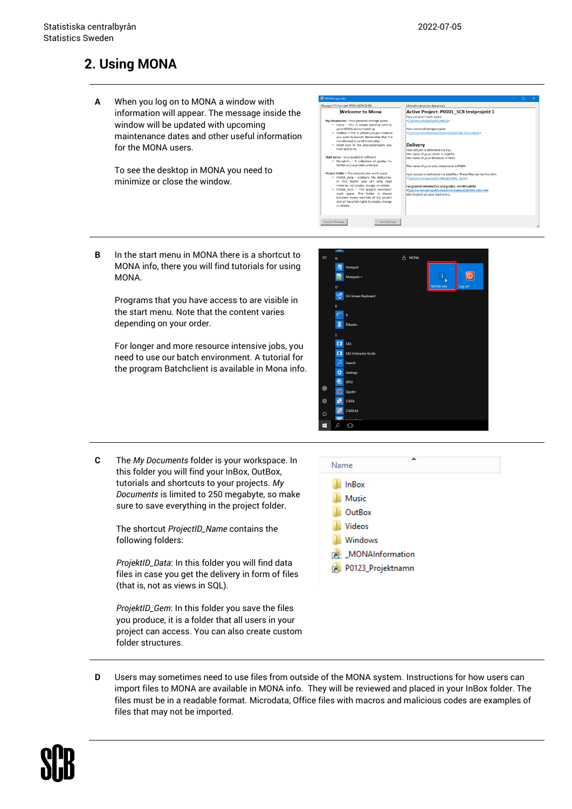## <span id="page-4-0"></span>**2. Using MONA**

**A** When you log on to MONA a window with information will appear. The message inside the window will be updated with upcoming maintenance dates and other useful information for the MONA users.

To see the desktop in MONA you need to minimize or close the window.



**B** In the start menu in MONA there is a shortcut to MONA info, there you will find tutorials for using MONA.

Programs that you have access to are visible in the start menu. Note that the content varies depending on your order.

For longer and more resource intensive jobs, you need to use our batch environment. A tutorial for the program Batchclient is available in Mona info.



**C** The *My Documents* folder is your workspace. In this folder you will find your InBox, OutBox, tutorials and shortcuts to your projects. *My Documents* is limited to 250 megabyte, so make sure to save everything in the project folder.

> The shortcut *ProjectID\_Name* contains the following folders:

*ProjektID\_Data*: In this folder you will find data files in case you get the delivery in form of files (that is, not as views in SQL).

*ProjektID\_Gem*: In this folder you save the files you produce, it is a folder that all users in your project can access. You can also create custom folder structures.



**D** Users may sometimes need to use files from outside of the MONA system. Instructions for how users can import files to MONA are available in MONA info. They will be reviewed and placed in your InBox folder. The files must be in a readable format. Microdata, Office files with macros and malicious codes are examples of files that may not be imported.

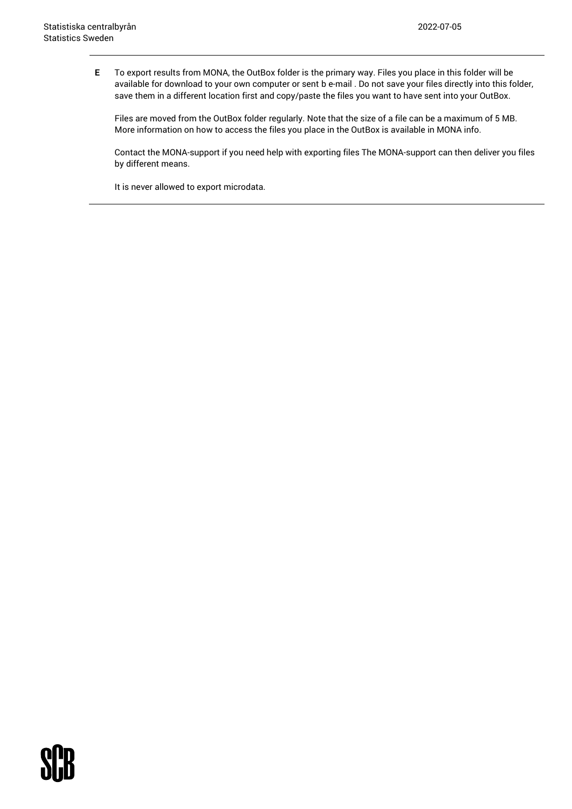**E** To export results from MONA, the OutBox folder is the primary way. Files you place in this folder will be available for download to your own computer or sent b e-mail . Do not save your files directly into this folder, save them in a different location first and copy/paste the files you want to have sent into your OutBox.

Files are moved from the OutBox folder regularly. Note that the size of a file can be a maximum of 5 MB. More information on how to access the files you place in the OutBox is available in MONA info.

Contact the MONA-support if you need help with exporting files The MONA-support can then deliver you files by different means.

It is never allowed to export microdata.